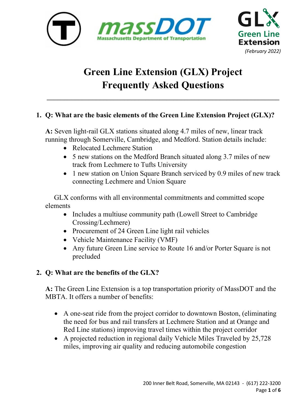



# **Green Line Extension (GLX) Project Frequently Asked Questions**

\_\_\_\_\_\_\_\_\_\_\_\_\_\_\_\_\_\_\_\_\_\_\_\_\_\_\_\_\_\_\_\_\_\_\_\_\_\_\_\_\_\_\_\_\_\_\_\_\_\_\_\_\_\_\_\_\_\_\_\_\_\_\_\_\_\_

## **1. Q: What are the basic elements of the Green Line Extension Project (GLX)?**

**A:** Seven light-rail GLX stations situated along 4.7 miles of new, linear track running through Somerville, Cambridge, and Medford. Station details include:

- Relocated Lechmere Station
- 5 new stations on the Medford Branch situated along 3.7 miles of new track from Lechmere to Tufts University
- 1 new station on Union Square Branch serviced by 0.9 miles of new track connecting Lechmere and Union Square

 GLX conforms with all environmental commitments and committed scope elements

- Includes a multiuse community path (Lowell Street to Cambridge) Crossing/Lechmere)
- Procurement of 24 Green Line light rail vehicles
- Vehicle Maintenance Facility (VMF)
- Any future Green Line service to Route 16 and/or Porter Square is not precluded

## **2. Q: What are the benefits of the GLX?**

**A:** The Green Line Extension is a top transportation priority of MassDOT and the MBTA. It offers a number of benefits:

- A one-seat ride from the project corridor to downtown Boston, (eliminating the need for bus and rail transfers at Lechmere Station and at Orange and Red Line stations) improving travel times within the project corridor
- A projected reduction in regional daily Vehicle Miles Traveled by 25,728 miles, improving air quality and reducing automobile congestion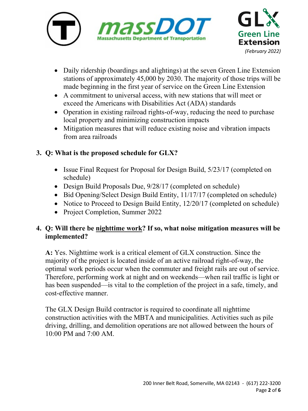



- Daily ridership (boardings and alightings) at the seven Green Line Extension stations of approximately 45,000 by 2030. The majority of those trips will be made beginning in the first year of service on the Green Line Extension
- A commitment to universal access, with new stations that will meet or exceed the Americans with Disabilities Act (ADA) standards
- Operation in existing railroad rights-of-way, reducing the need to purchase local property and minimizing construction impacts
- Mitigation measures that will reduce existing noise and vibration impacts from area railroads

## **3. Q: What is the proposed schedule for GLX?**

- Issue Final Request for Proposal for Design Build, 5/23/17 (completed on schedule)
- Design Build Proposals Due,  $9/28/17$  (completed on schedule)
- Bid Opening/Select Design Build Entity, 11/17/17 (completed on schedule)
- Notice to Proceed to Design Build Entity, 12/20/17 (completed on schedule)
- Project Completion, Summer 2022

## **4. Q: Will there be nighttime work? If so, what noise mitigation measures will be implemented?**

**A:** Yes. Nighttime work is a critical element of GLX construction. Since the majority of the project is located inside of an active railroad right-of-way, the optimal work periods occur when the commuter and freight rails are out of service. Therefore, performing work at night and on weekends—when rail traffic is light or has been suspended—is vital to the completion of the project in a safe, timely, and cost-effective manner.

The GLX Design Build contractor is required to coordinate all nighttime construction activities with the MBTA and municipalities. Activities such as pile driving, drilling, and demolition operations are not allowed between the hours of 10:00 PM and 7:00 AM.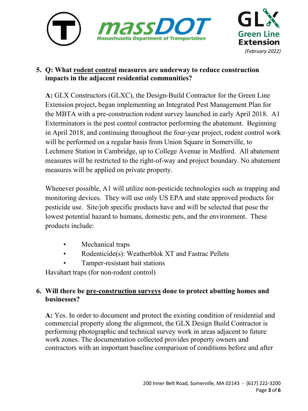



## **5. Q: What rodent control measures are underway to reduce construction impacts in the adjacent residential communities?**

**A:** GLX Constructors (GLXC), the Design-Build Contractor for the Green Line Extension project, began implementing an Integrated Pest Management Plan for the MBTA with a pre-construction rodent survey launched in early April 2018. A1 Exterminators is the pest control contractor performing the abatement. Beginning in April 2018, and continuing throughout the four-year project, rodent control work will be performed on a regular basis from Union Square in Somerville, to Lechmere Station in Cambridge, up to College Avenue in Medford. All abatement measures will be restricted to the right-of-way and project boundary. No abatement measures will be applied on private property.

Whenever possible, A1 will utilize non-pesticide technologies such as trapping and monitoring devices. They will use only US EPA and state approved products for pesticide use. Site/job specific products have and will be selected that pose the lowest potential hazard to humans, domestic pets, and the environment. These products include:

- Mechanical traps
- Rodenticide(s): Weatherblok XT and Fastrac Pellets
- Tamper-resistant bait stations

Havahart traps (for non-rodent control)

## **6. Will there be pre-construction surveys done to protect abutting homes and businesses?**

**A:** Yes. In order to document and protect the existing condition of residential and commercial property along the alignment, the GLX Design Build Contractor is performing photographic and technical survey work in areas adjacent to future work zones. The documentation collected provides property owners and contractors with an important baseline comparison of conditions before and after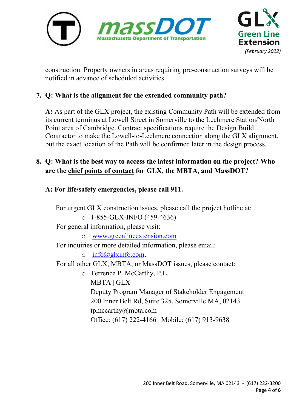



construction. Property owners in areas requiring pre-construction surveys will be notified in advance of scheduled activities.

## **7. Q: What is the alignment for the extended community path?**

**A:** As part of the GLX project, the existing Community Path will be extended from its current terminus at Lowell Street in Somerville to the Lechmere Station/North Point area of Cambridge. Contract specifications require the Design Build Contractor to make the Lowell-to-Lechmere connection along the GLX alignment, but the exact location of the Path will be confirmed later in the design process.

## **8. Q: What is the best way to access the latest information on the project? Who are the chief points of contact for GLX, the MBTA, and MassDOT?**

**A: For life/safety emergencies, please call 911.**

 For urgent GLX construction issues, please call the project hotline at:  $O$  1-855-GLX-INFO (459-4636) For general information, please visit: o [www.greenlineextension.com](http://www.greenlineextension.com/)  For inquiries or more detailed information, please email:  $\circ$  [info@glxinfo.com.](mailto:info@glxinfo.com) For all other GLX, MBTA, or MassDOT issues, please contact: o Terrence P. McCarthy, P.E. MBTA | GLX Deputy Program Manager of Stakeholder Engagement 200 Inner Belt Rd, Suite 325, Somerville MA, 02143 tpmccarthy@mbta.com Office: (617) 222-4166 | Mobile: (617) 913-9638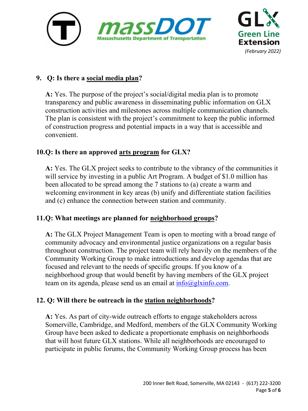



## **9. Q: Is there a social media plan?**

**A:** Yes. The purpose of the project's social/digital media plan is to promote transparency and public awareness in disseminating public information on GLX construction activities and milestones across multiple communication channels. The plan is consistent with the project's commitment to keep the public informed of construction progress and potential impacts in a way that is accessible and convenient.

## **10.Q: Is there an approved arts program for GLX?**

**A:** Yes. The GLX project seeks to contribute to the vibrancy of the communities it will service by investing in a public Art Program. A budget of \$1.0 million has been allocated to be spread among the 7 stations to (a) create a warm and welcoming environment in key areas (b) unify and differentiate station facilities and (c) enhance the connection between station and community.

## **11.Q: What meetings are planned for neighborhood groups?**

**A:** The GLX Project Management Team is open to meeting with a broad range of community advocacy and environmental justice organizations on a regular basis throughout construction. The project team will rely heavily on the members of the Community Working Group to make introductions and develop agendas that are focused and relevant to the needs of specific groups. If you know of a neighborhood group that would benefit by having members of the GLX project team on its agenda, please send us an email at  $info(\partial g)xinfo.com$ .

#### **12. Q: Will there be outreach in the station neighborhoods?**

**A:** Yes. As part of city-wide outreach efforts to engage stakeholders across Somerville, Cambridge, and Medford, members of the GLX Community Working Group have been asked to dedicate a proportionate emphasis on neighborhoods that will host future GLX stations. While all neighborhoods are encouraged to participate in public forums, the Community Working Group process has been